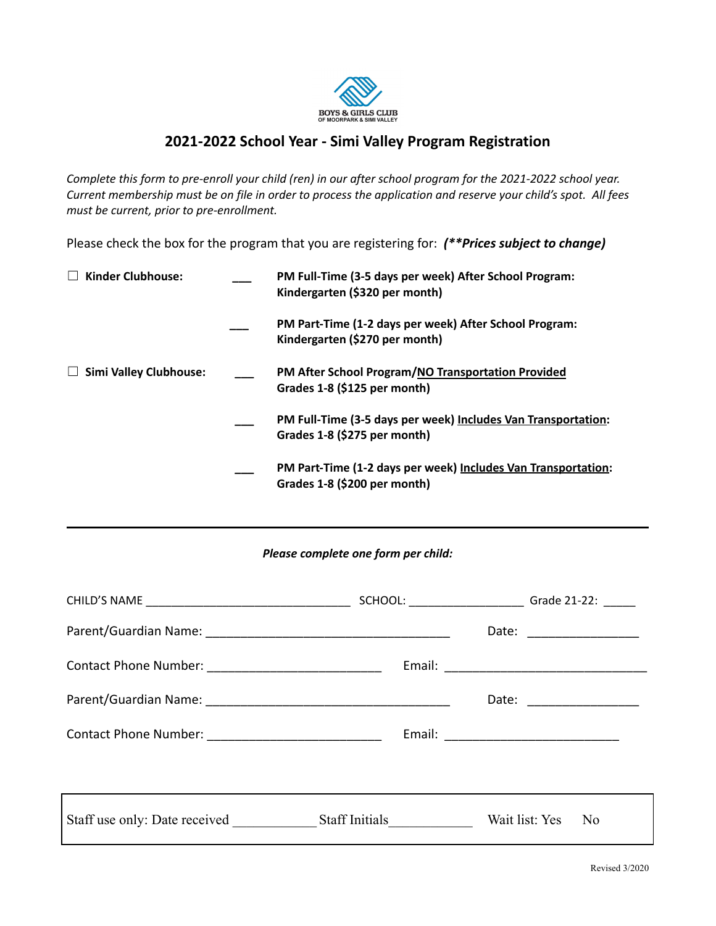

# **2021-2022 School Year - Simi Valley Program Registration**

Complete this form to pre-enroll your child (ren) in our after school program for the 2021-2022 school year. Current membership must be on file in order to process the application and reserve your child's spot. All fees *must be current, prior to pre-enrollment.*

Please check the box for the program that you are registering for: *(\*\*Prices subject to change)*

| <b>Kinder Clubhouse:</b>      | PM Full-Time (3-5 days per week) After School Program:<br>Kindergarten (\$320 per month)      |
|-------------------------------|-----------------------------------------------------------------------------------------------|
|                               | PM Part-Time (1-2 days per week) After School Program:<br>Kindergarten (\$270 per month)      |
| <b>Simi Valley Clubhouse:</b> | PM After School Program/NO Transportation Provided<br>Grades 1-8 (\$125 per month)            |
|                               | PM Full-Time (3-5 days per week) Includes Van Transportation:<br>Grades 1-8 (\$275 per month) |
|                               | PM Part-Time (1-2 days per week) Includes Van Transportation:<br>Grades 1-8 (\$200 per month) |

## *Please complete one form per child:*

| SCHOOL: ____________________________Grade 21-22: _______ |                                  |
|----------------------------------------------------------|----------------------------------|
|                                                          | Date: _________________          |
|                                                          |                                  |
|                                                          | Date: _________________          |
|                                                          |                                  |
|                                                          |                                  |
|                                                          | Wait list: Yes<br>N <sub>0</sub> |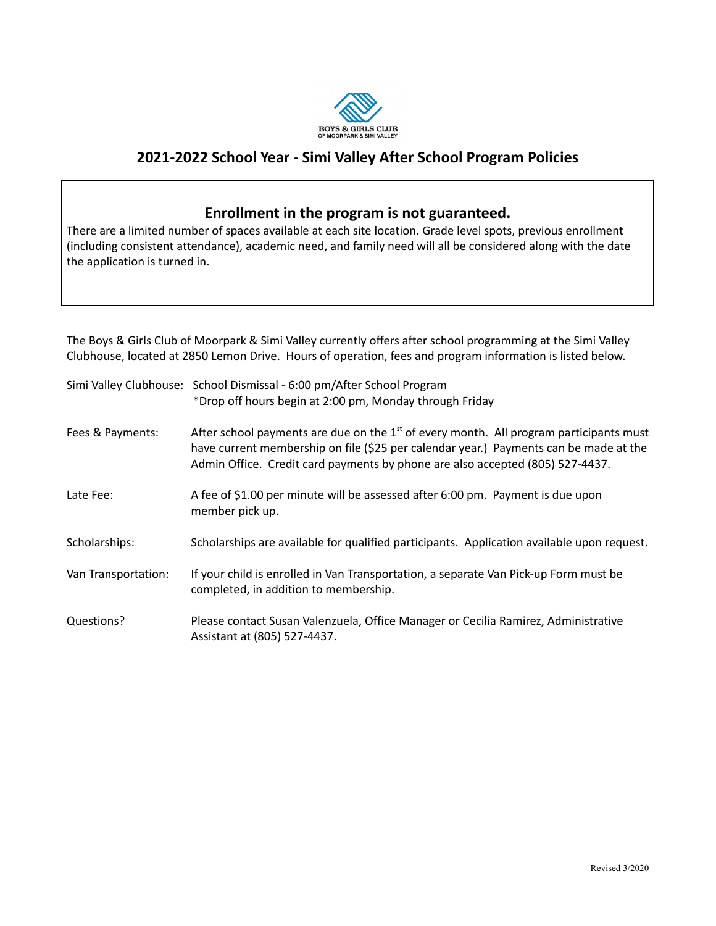

## **2021-2022 School Year - Simi Valley After School Program Policies**

## **Enrollment in the program is not guaranteed.**

There are a limited number of spaces available at each site location. Grade level spots, previous enrollment (including consistent attendance), academic need, and family need will all be considered along with the date the application is turned in.

The Boys & Girls Club of Moorpark & Simi Valley currently offers after school programming at the Simi Valley Clubhouse, located at 2850 Lemon Drive. Hours of operation, fees and program information is listed below.

|                     | Simi Valley Clubhouse: School Dismissal - 6:00 pm/After School Program<br>*Drop off hours begin at 2:00 pm, Monday through Friday                                                                                                                                  |
|---------------------|--------------------------------------------------------------------------------------------------------------------------------------------------------------------------------------------------------------------------------------------------------------------|
| Fees & Payments:    | After school payments are due on the $1st$ of every month. All program participants must<br>have current membership on file (\$25 per calendar year.) Payments can be made at the<br>Admin Office. Credit card payments by phone are also accepted (805) 527-4437. |
| Late Fee:           | A fee of \$1.00 per minute will be assessed after 6:00 pm. Payment is due upon<br>member pick up.                                                                                                                                                                  |
| Scholarships:       | Scholarships are available for qualified participants. Application available upon request.                                                                                                                                                                         |
| Van Transportation: | If your child is enrolled in Van Transportation, a separate Van Pick-up Form must be<br>completed, in addition to membership.                                                                                                                                      |
| Questions?          | Please contact Susan Valenzuela, Office Manager or Cecilia Ramirez, Administrative<br>Assistant at (805) 527-4437.                                                                                                                                                 |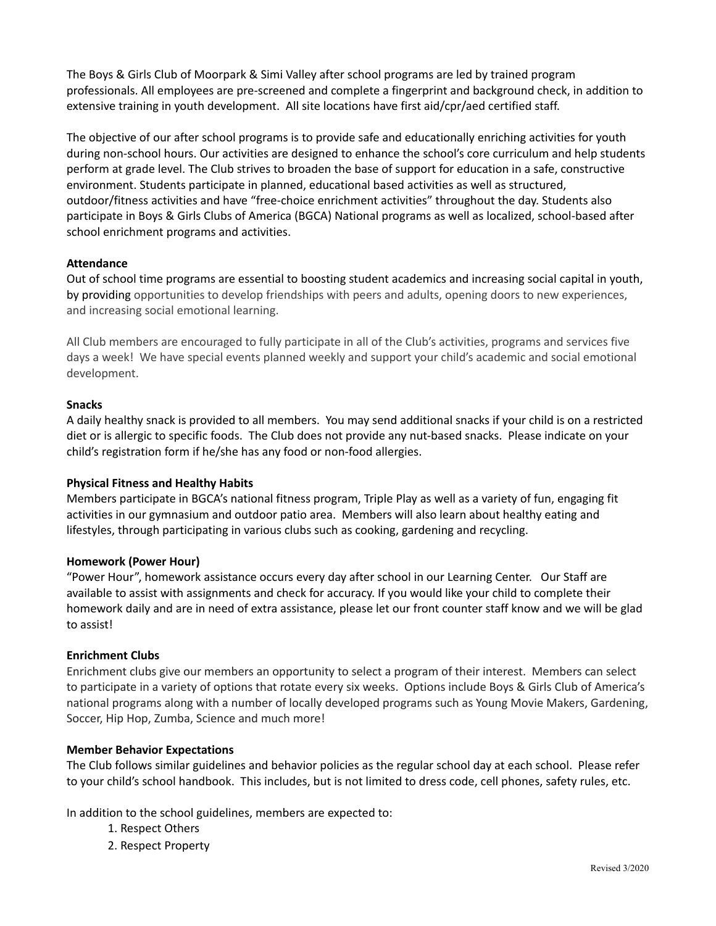The Boys & Girls Club of Moorpark & Simi Valley after school programs are led by trained program professionals. All employees are pre-screened and complete a fingerprint and background check, in addition to extensive training in youth development. All site locations have first aid/cpr/aed certified staff.

The objective of our after school programs is to provide safe and educationally enriching activities for youth during non-school hours. Our activities are designed to enhance the school's core curriculum and help students perform at grade level. The Club strives to broaden the base of support for education in a safe, constructive environment. Students participate in planned, educational based activities as well as structured, outdoor/fitness activities and have "free-choice enrichment activities" throughout the day. Students also participate in Boys & Girls Clubs of America (BGCA) National programs as well as localized, school-based after school enrichment programs and activities.

## **Attendance**

Out of school time programs are essential to boosting student academics and increasing social capital in youth, by providing opportunities to develop friendships with peers and adults, opening doors to new experiences, and increasing social emotional learning.

All Club members are encouraged to fully participate in all of the Club's activities, programs and services five days a week! We have special events planned weekly and support your child's academic and social emotional development.

### **Snacks**

A daily healthy snack is provided to all members. You may send additional snacks if your child is on a restricted diet or is allergic to specific foods. The Club does not provide any nut-based snacks. Please indicate on your child's registration form if he/she has any food or non-food allergies.

#### **Physical Fitness and Healthy Habits**

Members participate in BGCA's national fitness program, Triple Play as well as a variety of fun, engaging fit activities in our gymnasium and outdoor patio area. Members will also learn about healthy eating and lifestyles, through participating in various clubs such as cooking, gardening and recycling.

#### **Homework (Power Hour)**

"Power Hour", homework assistance occurs every day after school in our Learning Center. Our Staff are available to assist with assignments and check for accuracy. If you would like your child to complete their homework daily and are in need of extra assistance, please let our front counter staff know and we will be glad to assist!

### **Enrichment Clubs**

Enrichment clubs give our members an opportunity to select a program of their interest. Members can select to participate in a variety of options that rotate every six weeks. Options include Boys & Girls Club of America's national programs along with a number of locally developed programs such as Young Movie Makers, Gardening, Soccer, Hip Hop, Zumba, Science and much more!

#### **Member Behavior Expectations**

The Club follows similar guidelines and behavior policies as the regular school day at each school. Please refer to your child's school handbook. This includes, but is not limited to dress code, cell phones, safety rules, etc.

In addition to the school guidelines, members are expected to:

- 1. Respect Others
- 2. Respect Property